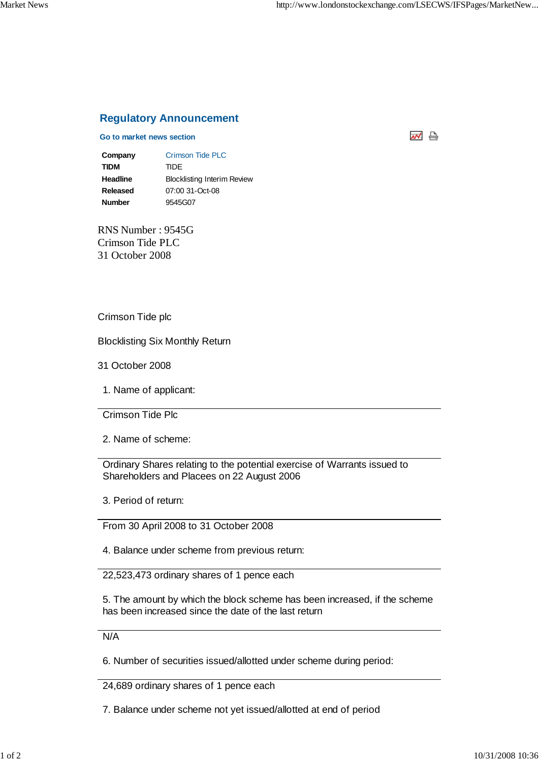## **Regulatory Announcement**

## **Go to market news section**



**Company** Crimson Tide PLC **TIDM** TIDE **Headline** Blocklisting Interim Review **Released** 07:00 31-Oct-08 **Number** 9545G07

RNS Number : 9545G Crimson Tide PLC 31 October 2008

Crimson Tide plc

Blocklisting Six Monthly Return

31 October 2008

1. Name of applicant:

Crimson Tide Plc

2. Name of scheme:

Ordinary Shares relating to the potential exercise of Warrants issued to Shareholders and Placees on 22 August 2006

3. Period of return:

From 30 April 2008 to 31 October 2008

4. Balance under scheme from previous return:

22,523,473 ordinary shares of 1 pence each

5. The amount by which the block scheme has been increased, if the scheme has been increased since the date of the last return

N/A

6. Number of securities issued/allotted under scheme during period:

24,689 ordinary shares of 1 pence each

7. Balance under scheme not yet issued/allotted at end of period